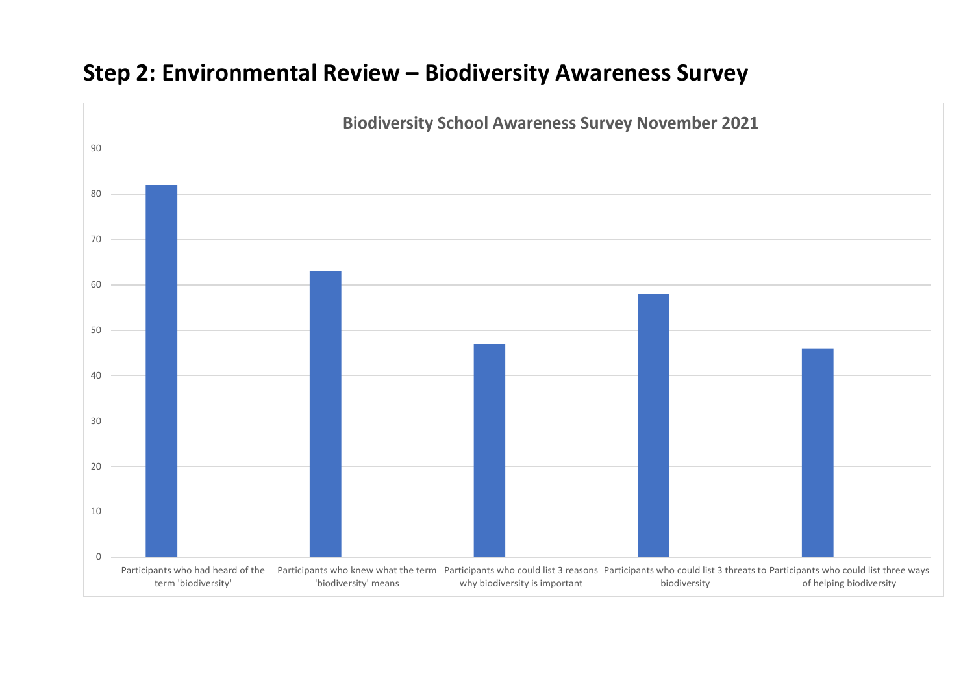## **Step 2: Environmental Review – Biodiversity Awareness Survey**